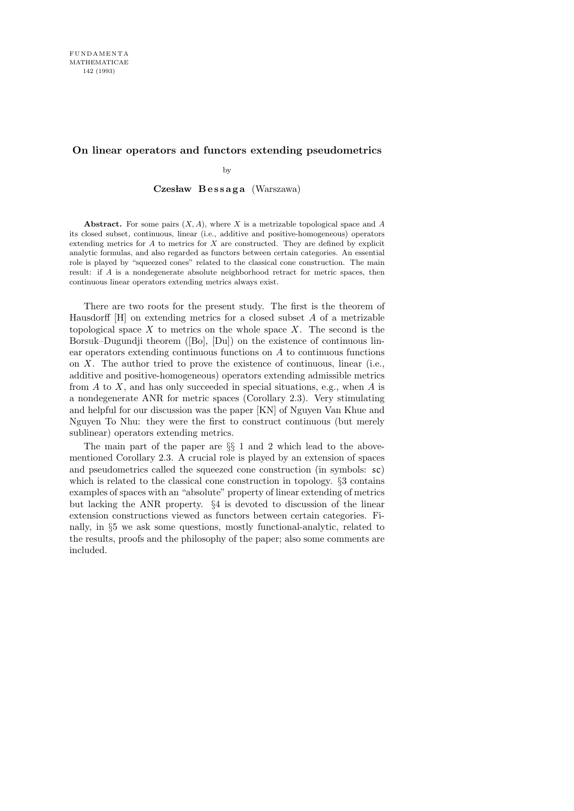# **On linear operators and functors extending pseudometrics**

by

## Czesław Bessaga (Warszawa)

**Abstract.** For some pairs (*X, A*), where *X* is a metrizable topological space and *A* its closed subset, continuous, linear (i.e., additive and positive-homogeneous) operators extending metrics for *A* to metrics for *X* are constructed. They are defined by explicit analytic formulas, and also regarded as functors between certain categories. An essential role is played by "squeezed cones" related to the classical cone construction. The main result: if *A* is a nondegenerate absolute neighborhood retract for metric spaces, then continuous linear operators extending metrics always exist.

There are two roots for the present study. The first is the theorem of Hausdorff  $[H]$  on extending metrics for a closed subset A of a metrizable topological space  $X$  to metrics on the whole space  $X$ . The second is the Borsuk–Dugundji theorem ([Bo], [Du]) on the existence of continuous linear operators extending continuous functions on A to continuous functions on  $X$ . The author tried to prove the existence of continuous, linear (i.e., additive and positive-homogeneous) operators extending admissible metrics from  $A$  to  $X$ , and has only succeeded in special situations, e.g., when  $A$  is a nondegenerate ANR for metric spaces (Corollary 2.3). Very stimulating and helpful for our discussion was the paper [KN] of Nguyen Van Khue and Nguyen To Nhu: they were the first to construct continuous (but merely sublinear) operators extending metrics.

The main part of the paper are §§ 1 and 2 which lead to the abovementioned Corollary 2.3. A crucial role is played by an extension of spaces and pseudometrics called the squeezed cone construction (in symbols: sc) which is related to the classical cone construction in topology. §3 contains examples of spaces with an "absolute" property of linear extending of metrics but lacking the ANR property. §4 is devoted to discussion of the linear extension constructions viewed as functors between certain categories. Finally, in §5 we ask some questions, mostly functional-analytic, related to the results, proofs and the philosophy of the paper; also some comments are included.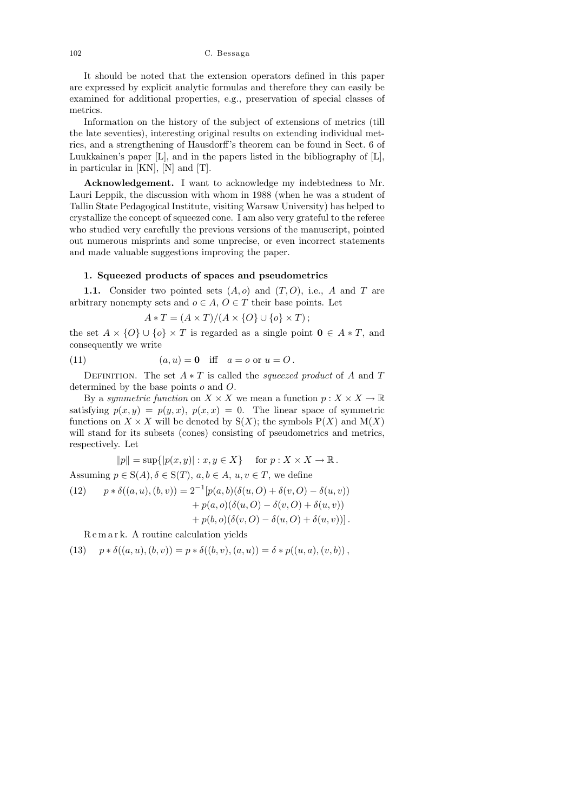102 C. Bessaga

It should be noted that the extension operators defined in this paper are expressed by explicit analytic formulas and therefore they can easily be examined for additional properties, e.g., preservation of special classes of metrics.

Information on the history of the subject of extensions of metrics (till the late seventies), interesting original results on extending individual metrics, and a strengthening of Hausdorff's theorem can be found in Sect. 6 of Luukkainen's paper [L], and in the papers listed in the bibliography of [L], in particular in [KN], [N] and [T].

Acknowledgement. I want to acknowledge my indebtedness to Mr. Lauri Leppik, the discussion with whom in 1988 (when he was a student of Tallin State Pedagogical Institute, visiting Warsaw University) has helped to crystallize the concept of squeezed cone. I am also very grateful to the referee who studied very carefully the previous versions of the manuscript, pointed out numerous misprints and some unprecise, or even incorrect statements and made valuable suggestions improving the paper.

### 1. Squeezed products of spaces and pseudometrics

1.1. Consider two pointed sets  $(A, o)$  and  $(T, O)$ , i.e., A and T are arbitrary nonempty sets and  $o \in A$ ,  $O \in T$  their base points. Let

$$
A * T = (A \times T) / (A \times \{O\} \cup \{o\} \times T);
$$

the set  $A \times \{O\} \cup \{o\} \times T$  is regarded as a single point  $\mathbf{0} \in A * T$ , and consequently we write

(11) 
$$
(a, u) = 0
$$
 iff  $a = o$  or  $u = O$ .

DEFINITION. The set  $A * T$  is called the *squeezed product* of A and T determined by the base points o and O.

By a symmetric function on  $X \times X$  we mean a function  $p : X \times X \to \mathbb{R}$ satisfying  $p(x, y) = p(y, x)$ ,  $p(x, x) = 0$ . The linear space of symmetric functions on  $X \times X$  will be denoted by  $S(X)$ ; the symbols  $P(X)$  and  $M(X)$ will stand for its subsets (cones) consisting of pseudometrics and metrics, respectively. Let

$$
||p|| = \sup{ |p(x, y)| : x, y \in X }
$$
 for  $p: X \times X \to \mathbb{R}$ .

Assuming  $p \in S(A), \delta \in S(T), a, b \in A, u, v \in T$ , we define (12)  $p * \delta((a, u), (b, v)) = 2^{-1} [p(a, b) (\delta(u, O) + \delta(v, O) - \delta(u, v))]$  $+ p(a, o)(\delta(u, O) - \delta(v, O) + \delta(u, v))$  $+ p(b, o)(\delta(v, O) - \delta(u, O) + \delta(u, v))$ .

R e m a r k. A routine calculation yields

(13) 
$$
p * \delta((a, u), (b, v)) = p * \delta((b, v), (a, u)) = \delta * p((u, a), (v, b)),
$$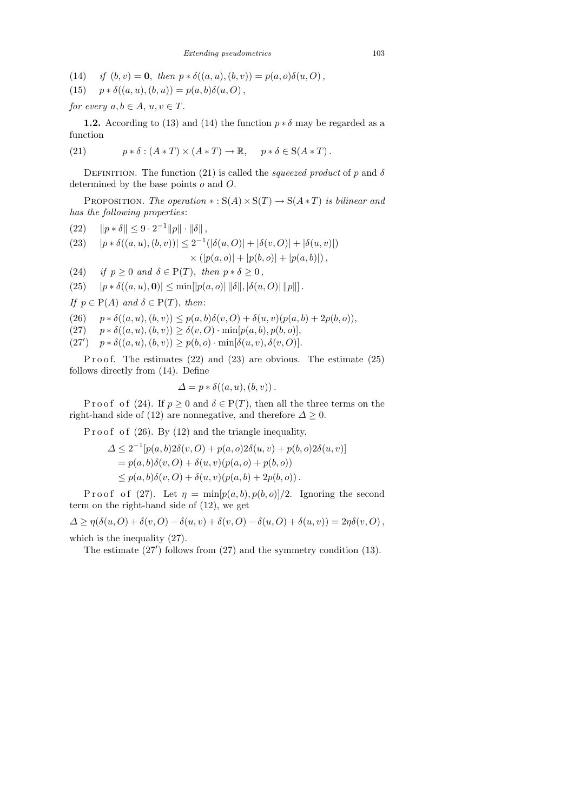(14) if  $(b, v) = 0$ , then  $p * \delta((a, u), (b, v)) = p(a, o)\delta(u, O)$ ,

(15) 
$$
p * \delta((a, u), (b, u)) = p(a, b)\delta(u, O),
$$

for every  $a, b \in A$ ,  $u, v \in T$ .

**1.2.** According to (13) and (14) the function  $p * \delta$  may be regarded as a function

(21) 
$$
p * \delta : (A * T) \times (A * T) \to \mathbb{R}, \quad p * \delta \in S(A * T).
$$

DEFINITION. The function (21) is called the *squeezed product* of p and  $\delta$ determined by the base points o and O.

PROPOSITION. The operation  $\ast : S(A) \times S(T) \rightarrow S(A * T)$  is bilinear and has the following properties:

(22) 
$$
||p * \delta|| \leq 9 \cdot 2^{-1} ||p|| \cdot ||\delta||
$$
,  
\n(23)  $|p * \delta((a, u), (b, v))| \leq 2^{-1} (|\delta(u, 0)| + |\delta(v, 0)| + |\delta(u, v)|)$   
\n $\times (|p(a, o)| + |p(b, o)| + |p(a, b)|)$ ,

(24) if  $p \geq 0$  and  $\delta \in P(T)$ , then  $p * \delta \geq 0$ ,

(25)  $|p * \delta((a, u), 0)| \le \min[|p(a, o)| ||\delta||, |\delta(u, O)||p||].$ 

If  $p \in P(A)$  and  $\delta \in P(T)$ , then:

- (26)  $p * \delta((a, u), (b, v)) \leq p(a, b)\delta(v, O) + \delta(u, v)(p(a, b) + 2p(b, o)),$
- (27)  $p * \delta((a, u), (b, v)) \ge \delta(v, O) \cdot \min[p(a, b), p(b, o)],$
- (27')  $p * \delta((a, u), (b, v)) \geq p(b, o) \cdot \min[\delta(u, v), \delta(v, O)].$

P r o o f. The estimates  $(22)$  and  $(23)$  are obvious. The estimate  $(25)$ follows directly from (14). Define

$$
\Delta = p * \delta((a, u), (b, v)).
$$

P r o o f o f (24). If  $p \ge 0$  and  $\delta \in P(T)$ , then all the three terms on the right-hand side of (12) are nonnegative, and therefore  $\Delta \geq 0$ .

P r o o f o f  $(26)$ . By  $(12)$  and the triangle inequality,

$$
\Delta \le 2^{-1} [p(a, b) 2\delta(v, O) + p(a, o) 2\delta(u, v) + p(b, o) 2\delta(u, v)]
$$
  
=  $p(a, b)\delta(v, O) + \delta(u, v)(p(a, o) + p(b, o))$   
 $\le p(a, b)\delta(v, O) + \delta(u, v)(p(a, b) + 2p(b, o)).$ 

P r o o f (27). Let  $\eta = \min[p(a, b), p(b, o)]/2$ . Ignoring the second term on the right-hand side of (12), we get

 $\Delta \geq \eta(\delta(u, O) + \delta(v, O) - \delta(u, v) + \delta(v, O) - \delta(u, O) + \delta(u, v)) = 2\eta\delta(v, O),$ which is the inequality (27).

The estimate  $(27')$  follows from  $(27)$  and the symmetry condition  $(13)$ .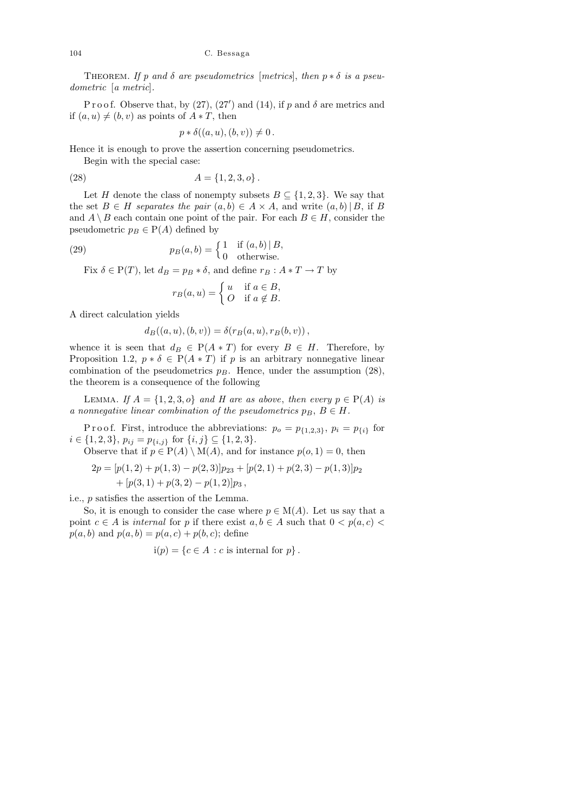THEOREM. If p and  $\delta$  are pseudometrics [metrics], then  $p * \delta$  is a pseudometric [a metric].

P r o o f. Observe that, by (27), (27') and (14), if p and  $\delta$  are metrics and if  $(a, u) \neq (b, v)$  as points of  $A * T$ , then

$$
p * \delta((a, u), (b, v)) \neq 0
$$

Hence it is enough to prove the assertion concerning pseudometrics.

Begin with the special case:

(28)  $A = \{1, 2, 3, o\}.$ 

Let H denote the class of nonempty subsets  $B \subseteq \{1,2,3\}$ . We say that the set  $B \in H$  separates the pair  $(a, b) \in A \times A$ , and write  $(a, b) | B$ , if B and  $A \setminus B$  each contain one point of the pair. For each  $B \in H$ , consider the pseudometric  $p_B \in P(A)$  defined by

(29) 
$$
p_B(a,b) = \begin{cases} 1 & \text{if } (a,b) \mid B, \\ 0 & \text{otherwise.} \end{cases}
$$

Fix  $\delta \in P(T)$ , let  $d_B = p_B * \delta$ , and define  $r_B : A * T \to T$  by

$$
r_B(a, u) = \begin{cases} u & \text{if } a \in B, \\ O & \text{if } a \notin B. \end{cases}
$$

A direct calculation yields

$$
d_B((a, u), (b, v)) = \delta(r_B(a, u), r_B(b, v)),
$$

whence it is seen that  $d_B \in P(A * T)$  for every  $B \in H$ . Therefore, by Proposition 1.2,  $p * \delta \in P(A * T)$  if p is an arbitrary nonnegative linear combination of the pseudometrics  $p_B$ . Hence, under the assumption (28), the theorem is a consequence of the following

LEMMA. If  $A = \{1, 2, 3, o\}$  and H are as above, then every  $p \in P(A)$  is a nonnegative linear combination of the pseudometrics  $p_B, B \in H$ .

P r o o f. First, introduce the abbreviations:  $p_o = p_{\{1,2,3\}}, p_i = p_{\{i\}}$  for  $i \in \{1, 2, 3\}, p_{ij} = p_{\{i, j\}}$  for  $\{i, j\} \subseteq \{1, 2, 3\}.$ 

Observe that if 
$$
p \in P(A) \setminus M(A)
$$
, and for instance  $p(o, 1) = 0$ , then  
\n
$$
2p = [p(1,2) + p(1,3) - p(2,3)]p_{23} + [p(2,1) + p(2,3) - p(1,3)]p_2
$$
\n
$$
+ [p(3,1) + p(3,2) - p(1,2)]p_3,
$$

i.e., p satisfies the assertion of the Lemma.

So, it is enough to consider the case where  $p \in M(A)$ . Let us say that a point  $c \in A$  is internal for p if there exist  $a, b \in A$  such that  $0 < p(a, c)$  $p(a, b)$  and  $p(a, b) = p(a, c) + p(b, c)$ ; define

$$
i(p) = \{c \in A : c \text{ is internal for } p\}.
$$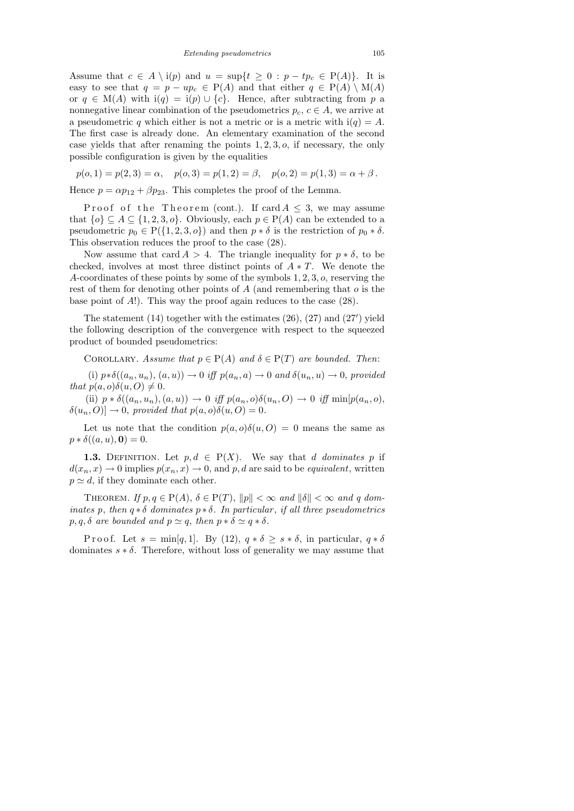Assume that  $c \in A \setminus i(p)$  and  $u = \sup\{t \geq 0 : p - tp_c \in P(A)\}\$ . It is easy to see that  $q = p - up_c \in P(A)$  and that either  $q \in P(A) \setminus M(A)$ or  $q \in M(A)$  with  $i(q) = i(p) \cup \{c\}$ . Hence, after subtracting from p a nonnegative linear combination of the pseudometrics  $p_c, c \in A$ , we arrive at a pseudometric q which either is not a metric or is a metric with  $i(q) = A$ . The first case is already done. An elementary examination of the second case yields that after renaming the points  $1, 2, 3, 0$ , if necessary, the only possible configuration is given by the equalities

$$
p(o, 1) = p(2, 3) = \alpha
$$
,  $p(o, 3) = p(1, 2) = \beta$ ,  $p(o, 2) = p(1, 3) = \alpha + \beta$ .

Hence  $p = \alpha p_{12} + \beta p_{23}$ . This completes the proof of the Lemma.

Proof of the Theorem (cont.). If  $\operatorname{card} A \leq 3$ , we may assume that  $\{o\} \subseteq A \subseteq \{1, 2, 3, o\}$ . Obviously, each  $p \in P(A)$  can be extended to a pseudometric  $p_0 \in P({1, 2, 3, o})$  and then  $p * \delta$  is the restriction of  $p_0 * \delta$ . This observation reduces the proof to the case (28).

Now assume that card  $A > 4$ . The triangle inequality for  $p * \delta$ , to be checked, involves at most three distinct points of  $A * T$ . We denote the A-coordinates of these points by some of the symbols 1, 2, 3, o, reserving the rest of them for denoting other points of A (and remembering that  $o$  is the base point of A!). This way the proof again reduces to the case (28).

The statement  $(14)$  together with the estimates  $(26)$ ,  $(27)$  and  $(27')$  yield the following description of the convergence with respect to the squeezed product of bounded pseudometrics:

COROLLARY. Assume that  $p \in P(A)$  and  $\delta \in P(T)$  are bounded. Then:

(i)  $p * \delta((a_n, u_n), (a, u)) \to 0$  iff  $p(a_n, a) \to 0$  and  $\delta(u_n, u) \to 0$ , provided that  $p(a, o)\delta(u, O) \neq 0$ .

(ii)  $p * \delta((a_n, u_n), (a, u)) \to 0$  iff  $p(a_n, o)\delta(u_n, O) \to 0$  iff  $\min[p(a_n, o),$  $\delta(u_n, O)| \to 0$ , provided that  $p(a, o)\delta(u, O) = 0$ .

Let us note that the condition  $p(a, o)\delta(u, O) = 0$  means the same as  $p * \delta((a, u), 0) = 0.$ 

**1.3.** DEFINITION. Let  $p, d \in P(X)$ . We say that d dominates p if  $d(x_n, x) \to 0$  implies  $p(x_n, x) \to 0$ , and p, d are said to be *equivalent*, written  $p \simeq d$ , if they dominate each other.

THEOREM. If  $p, q \in P(A), \delta \in P(T), ||p|| < \infty$  and  $||\delta|| < \infty$  and q dominates p, then  $q * \delta$  dominates  $p * \delta$ . In particular, if all three pseudometrics  $p, q, \delta$  are bounded and  $p \simeq q$ , then  $p * \delta \simeq q * \delta$ .

P r o o f. Let  $s = \min[q, 1]$ . By (12),  $q * \delta \geq s * \delta$ , in particular,  $q * \delta$ dominates  $s * \delta$ . Therefore, without loss of generality we may assume that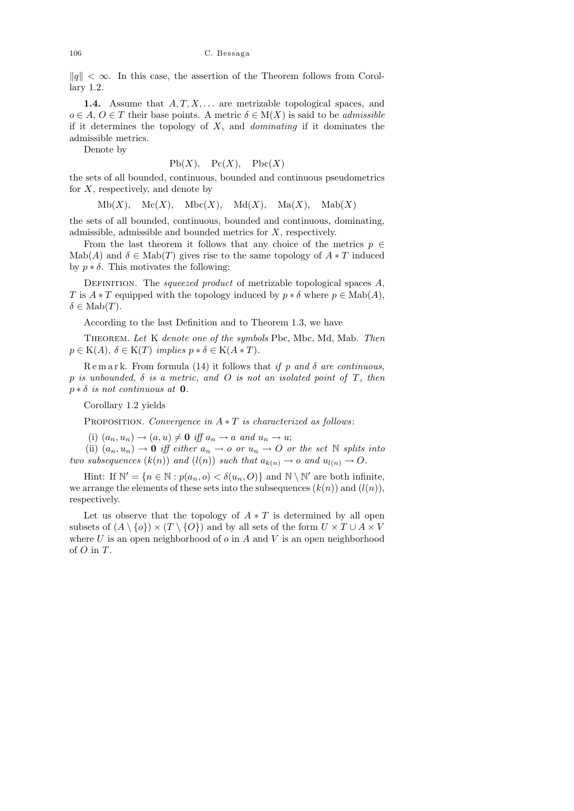$\|q\| < \infty$ . In this case, the assertion of the Theorem follows from Corollary 1.2.

**1.4.** Assume that  $A, T, X, \ldots$  are metrizable topological spaces, and  $o \in A, O \in T$  their base points. A metric  $\delta \in M(X)$  is said to be *admissible* if it determines the topology of  $X$ , and *dominating* if it dominates the admissible metrics.

Denote by

$$
Pb(X), \quad Pc(X), \quad Pbc(X)
$$

the sets of all bounded, continuous, bounded and continuous pseudometrics for  $X$ , respectively, and denote by

 $Mb(X), \quad \text{Mc}(X), \quad \text{Mbc}(X), \quad \text{Md}(X), \quad \text{Ma}(X), \quad \text{Mab}(X)$ 

the sets of all bounded, continuous, bounded and continuous, dominating, admissible, admissible and bounded metrics for X, respectively.

From the last theorem it follows that any choice of the metrics  $p \in$ Mab(A) and  $\delta \in \text{Mab}(T)$  gives rise to the same topology of  $A * T$  induced by  $p * \delta$ . This motivates the following:

DEFINITION. The *squeezed product* of metrizable topological spaces  $A$ , T is  $A * T$  equipped with the topology induced by  $p * \delta$  where  $p \in \text{Mab}(A)$ ,  $\delta \in \mathrm{Mab}(T)$ .

According to the last Definition and to Theorem 1.3, we have

THEOREM. Let K denote one of the symbols Pbc, Mbc, Md, Mab. Then  $p \in K(A), \delta \in K(T)$  implies  $p * \delta \in K(A * T)$ .

 $\mathbb{R}$  e m a r k. From formula (14) it follows that if p and  $\delta$  are continuous, p is unbounded,  $\delta$  is a metric, and O is not an isolated point of T, then  $p * \delta$  is not continuous at 0.

Corollary 1.2 yields

PROPOSITION. Convergence in  $A * T$  is characterized as follows:

(i)  $(a_n, u_n) \rightarrow (a, u) \neq \mathbf{0}$  iff  $a_n \rightarrow a$  and  $u_n \rightarrow u$ ;

(ii)  $(a_n, u_n) \to 0$  iff either  $a_n \to o$  or  $u_n \to O$  or the set N splits into two subsequences  $(k(n))$  and  $(l(n))$  such that  $a_{k(n)} \to o$  and  $u_{l(n)} \to O$ .

Hint: If  $\mathbb{N}' = \{n \in \mathbb{N} : p(a_n, o) < \delta(u_n, O)\}\$  and  $\mathbb{N} \setminus \mathbb{N}'$  are both infinite, we arrange the elements of these sets into the subsequences  $(k(n))$  and  $(l(n)),$ respectively.

Let us observe that the topology of  $A * T$  is determined by all open subsets of  $(A \setminus \{o\}) \times (T \setminus \{O\})$  and by all sets of the form  $U \times T \cup A \times V$ where  $U$  is an open neighborhood of  $o$  in  $A$  and  $V$  is an open neighborhood of  $O$  in  $T$ .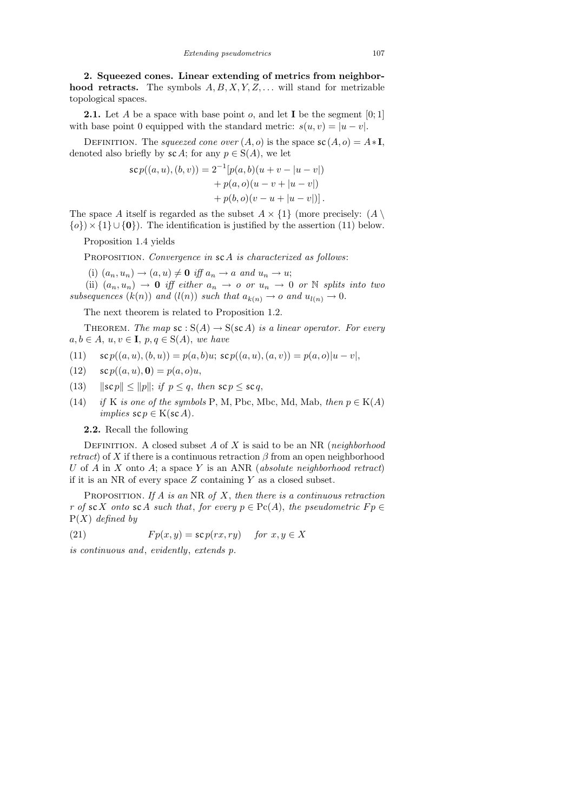2. Squeezed cones. Linear extending of metrics from neighborhood retracts. The symbols  $A, B, X, Y, Z, \ldots$  will stand for metrizable topological spaces.

**2.1.** Let A be a space with base point o, and let **I** be the segment  $[0;1]$ with base point 0 equipped with the standard metric:  $s(u, v) = |u - v|$ .

DEFINITION. The squeezed cone over  $(A, o)$  is the space  $\mathsf{sc}(A, o) = A * I$ , denoted also briefly by  $\mathcal{SC}A$ ; for any  $p \in S(A)$ , we let

$$
sc p((a, u), (b, v)) = 2^{-1}[p(a, b)(u + v - |u - v|)+ p(a, o)(u - v + |u - v|)+ p(b, o)(v - u + |u - v|)].
$$

The space A itself is regarded as the subset  $A \times \{1\}$  (more precisely:  $(A \setminus$  $\{o\}\times\{1\} \cup \{0\}$ . The identification is justified by the assertion (11) below.

Proposition 1.4 yields

PROPOSITION. Convergence in sc A is characterized as follows:

(i)  $(a_n, u_n) \rightarrow (a, u) \neq \mathbf{0}$  iff  $a_n \rightarrow a$  and  $u_n \rightarrow u$ ;

(ii)  $(a_n, u_n) \rightarrow 0$  iff either  $a_n \rightarrow o$  or  $u_n \rightarrow 0$  or  $\mathbb N$  splits into two subsequences  $(k(n))$  and  $(l(n))$  such that  $a_{k(n)} \to o$  and  $u_{l(n)} \to 0$ .

The next theorem is related to Proposition 1.2.

THEOREM. The map  $\mathsf{sc} : \mathsf{S}(A) \to \mathsf{S}(\mathsf{sc} A)$  is a linear operator. For every  $a, b \in A$ ,  $u, v \in I$ ,  $p, q \in S(A)$ , we have

(11) 
$$
sc p((a, u), (b, u)) = p(a, b)u; sc p((a, u), (a, v)) = p(a, o)|u - v|,
$$

(12)  $\sec p((a, u), 0) = p(a, o)u,$ 

- (13)  $\|{\bf s}{\bf c}\, p\| \le \|{\bf p}\|; \text{ if } {\bf p} \le {\bf q}, \text{ then } {\bf s}{\bf c}{\bf p} \le {\bf s}{\bf c}{\bf q},$
- (14) if K is one of the symbols P, M, Pbc, Mbc, Md, Mab, then  $p \in K(A)$ implies  $\mathsf{scp} \in \mathcal{K}(\mathsf{sc} A)$ .
	- 2.2. Recall the following

DEFINITION. A closed subset  $A$  of  $X$  is said to be an NR (neighborhood *retract*) of X if there is a continuous retraction  $\beta$  from an open neighborhood U of  $A$  in  $X$  onto  $A$ ; a space  $Y$  is an ANR (absolute neighborhood retract) if it is an NR of every space  $Z$  containing  $Y$  as a closed subset.

PROPOSITION. If A is an NR of X, then there is a continuous retraction r of scX onto scA such that, for every  $p \in \text{Pc}(A)$ , the pseudometric  $Fp \in$  $P(X)$  defined by

(21)  $F p(x, y) = \mathsf{sc} p(rx, ry)$  for  $x, y \in X$ 

is continuous and, evidently, extends p.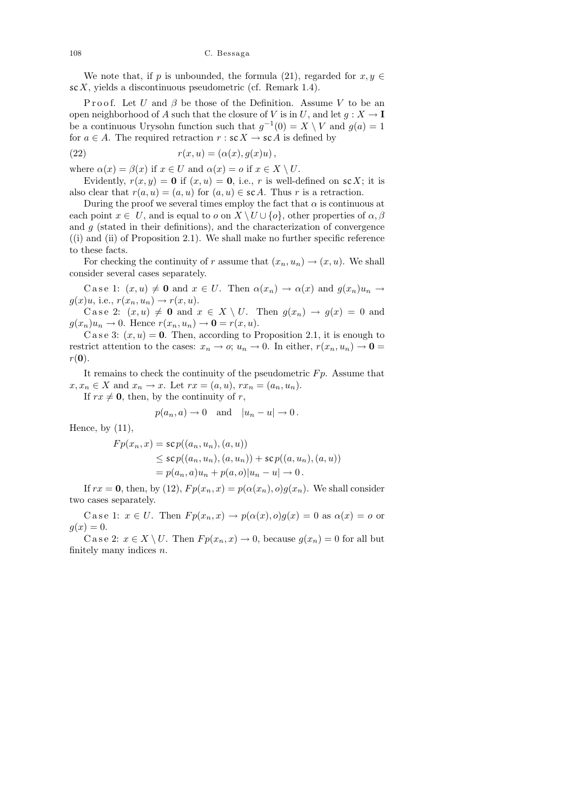We note that, if p is unbounded, the formula (21), regarded for  $x, y \in$  $\operatorname{sc} X$ , yields a discontinuous pseudometric (cf. Remark 1.4).

Proof. Let U and  $\beta$  be those of the Definition. Assume V to be an open neighborhood of A such that the closure of V is in U, and let  $g: X \to I$ be a continuous Urysohn function such that  $g^{-1}(0) = X \setminus V$  and  $g(a) = 1$ for  $a \in A$ . The required retraction  $r : scX \rightarrow scA$  is defined by

(22) 
$$
r(x, u) = (\alpha(x), g(x)u),
$$

where  $\alpha(x) = \beta(x)$  if  $x \in U$  and  $\alpha(x) = o$  if  $x \in X \setminus U$ .

Evidently,  $r(x, y) = 0$  if  $(x, u) = 0$ , i.e., r is well-defined on scX; it is also clear that  $r(a, u) = (a, u)$  for  $(a, u) \in scA$ . Thus r is a retraction.

During the proof we several times employ the fact that  $\alpha$  is continuous at each point  $x \in U$ , and is equal to o on  $X \setminus U \cup \{o\}$ , other properties of  $\alpha, \beta$ and  $q$  (stated in their definitions), and the characterization of convergence  $(1)$  and  $(1)$  of Proposition 2.1). We shall make no further specific reference to these facts.

For checking the continuity of r assume that  $(x_n, u_n) \to (x, u)$ . We shall consider several cases separately.

C a se 1:  $(x, u) \neq 0$  and  $x \in U$ . Then  $\alpha(x_n) \to \alpha(x)$  and  $g(x_n)u_n \to$  $g(x)u$ , i.e.,  $r(x_n, u_n) \rightarrow r(x, u)$ .

Case 2:  $(x, u) \neq 0$  and  $x \in X \setminus U$ . Then  $g(x_n) \to g(x) = 0$  and  $g(x_n)u_n \to 0$ . Hence  $r(x_n, u_n) \to \mathbf{0} = r(x, u)$ .

C a s e 3:  $(x, u) = 0$ . Then, according to Proposition 2.1, it is enough to restrict attention to the cases:  $x_n \to o; u_n \to 0$ . In either,  $r(x_n, u_n) \to 0$  $r(\mathbf{0}).$ 

It remains to check the continuity of the pseudometric  $F_p$ . Assume that  $x, x_n \in X$  and  $x_n \to x$ . Let  $rx = (a, u)$ ,  $rx_n = (a_n, u_n)$ .

If  $rx \neq 0$ , then, by the continuity of r,

$$
p(a_n, a) \to 0
$$
 and  $|u_n - u| \to 0$ .

Hence, by  $(11)$ ,

$$
Fp(x_n, x) = \text{sc } p((a_n, u_n), (a, u))
$$
  
\n
$$
\leq \text{sc } p((a_n, u_n), (a, u_n)) + \text{sc } p((a, u_n), (a, u))
$$
  
\n
$$
= p(a_n, a)u_n + p(a, o)|u_n - u| \to 0.
$$

If  $rx = 0$ , then, by (12),  $Fp(x_n, x) = p(\alpha(x_n), o)g(x_n)$ . We shall consider two cases separately.

C a s e 1:  $x \in U$ . Then  $Fp(x_n, x) \to p(\alpha(x), 0)g(x) = 0$  as  $\alpha(x) = 0$  or  $g(x)=0.$ 

C a s e 2:  $x \in X \setminus U$ . Then  $Fp(x_n, x) \to 0$ , because  $g(x_n) = 0$  for all but finitely many indices  $n$ .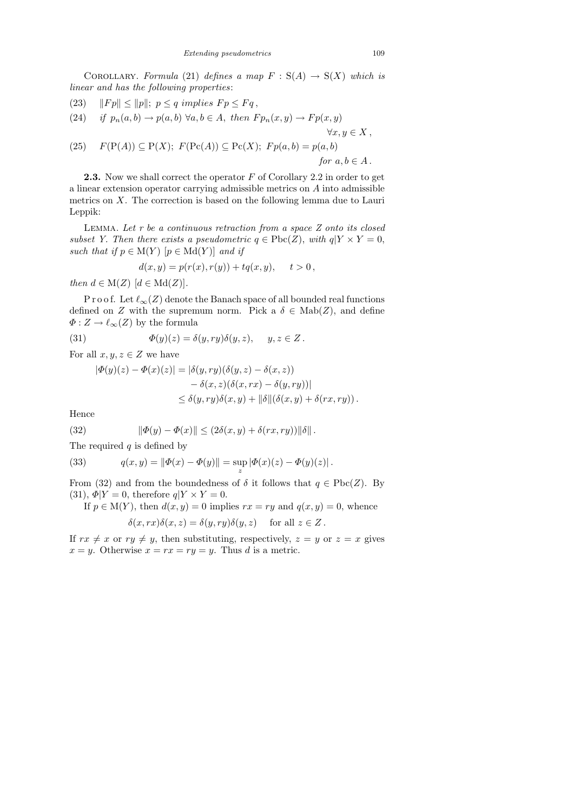COROLLARY. Formula (21) defines a map  $F : S(A) \rightarrow S(X)$  which is linear and has the following properties:

(23)  $\|Fp\| \le \|p\|; \ p \le q \ implies \ Fp \le Fq ,$ 

(24) if 
$$
p_n(a, b) \rightarrow p(a, b)
$$
  $\forall a, b \in A$ , then  $Fp_n(x, y) \rightarrow Fp(x, y)$ 

(25) 
$$
F(P(A)) \subseteq P(X)
$$
;  $F(Pc(A)) \subseteq Pc(X)$ ;  $Fp(a, b) = p(a, b)$   
for  $a, b \in A$ .

**2.3.** Now we shall correct the operator  $F$  of Corollary 2.2 in order to get a linear extension operator carrying admissible metrics on A into admissible metrics on X. The correction is based on the following lemma due to Lauri Leppik:

LEMMA. Let  $r$  be a continuous retraction from a space  $Z$  onto its closed subset Y. Then there exists a pseudometric  $q \in \text{Pbc}(Z)$ , with  $q|Y \times Y = 0$ , such that if  $p \in M(Y)$   $[p \in Md(Y)]$  and if

$$
d(x, y) = p(r(x), r(y)) + tq(x, y), \quad t > 0,
$$

then  $d \in M(Z)$   $[d \in M(dZ)].$ 

P r o o f. Let  $\ell_{\infty}(Z)$  denote the Banach space of all bounded real functions defined on Z with the supremum norm. Pick a  $\delta \in \text{Mab}(Z)$ , and define  $\Phi: Z \to \ell_{\infty}(Z)$  by the formula

(31) 
$$
\Phi(y)(z) = \delta(y, ry)\delta(y, z), \quad y, z \in Z.
$$

For all  $x, y, z \in Z$  we have

$$
|\Phi(y)(z) - \Phi(x)(z)| = |\delta(y, ry)(\delta(y, z) - \delta(x, z))
$$
  

$$
- \delta(x, z)(\delta(x, rx) - \delta(y, ry))|
$$
  

$$
\leq \delta(y, ry)\delta(x, y) + ||\delta||(\delta(x, y) + \delta(rx, ry)).
$$

Hence

(32) 
$$
\|\Phi(y) - \Phi(x)\| \le (2\delta(x, y) + \delta(rx, ry))\|\delta\|.
$$

The required  $q$  is defined by

(33) 
$$
q(x,y) = ||\Phi(x) - \Phi(y)|| = \sup_{z} |\Phi(x)(z) - \Phi(y)(z)|.
$$

From (32) and from the boundedness of  $\delta$  it follows that  $q \in \text{Pbc}(Z)$ . By (31),  $\Phi|Y=0$ , therefore  $q|Y\times Y=0$ .

If  $p \in M(Y)$ , then  $d(x, y) = 0$  implies  $rx = ry$  and  $q(x, y) = 0$ , whence  $\delta(x, rx)\delta(x, z) = \delta(y, ry)\delta(y, z)$  for all  $z \in Z$ .

If  $rx \neq x$  or  $ry \neq y$ , then substituting, respectively,  $z = y$  or  $z = x$  gives  $x = y$ . Otherwise  $x = rx = ry = y$ . Thus d is a metric.

 $\forall x, y \in X$ ,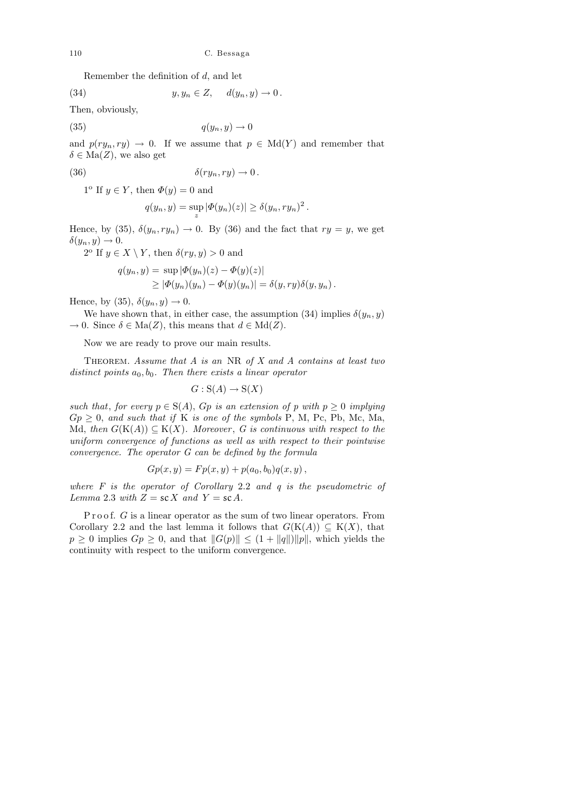Remember the definition of d, and let

(34) 
$$
y, y_n \in Z, \quad d(y_n, y) \to 0.
$$

Then, obviously,

$$
(35)
$$

 $q(y_n, y) \to 0$ 

and  $p(ry_n, ry) \rightarrow 0$ . If we assume that  $p \in \text{Md}(Y)$  and remember that  $\delta \in \text{Ma}(Z)$ , we also get

(36) 
$$
\delta(ry_n, ry) \to 0.
$$

 $1^{\circ}$  If  $y \in Y$ , then  $\Phi(y) = 0$  and

$$
q(y_n, y) = \sup_z |\Phi(y_n)(z)| \ge \delta(y_n, ry_n)^2.
$$

Hence, by (35),  $\delta(y_n, ry_n) \to 0$ . By (36) and the fact that  $ry = y$ , we get  $\delta(y_n, y) \to 0.$ 

 $2^{\circ}$  If  $y \in X \setminus Y$ , then  $\delta(ry, y) > 0$  and

$$
q(y_n, y) = \sup |\Phi(y_n)(z) - \Phi(y)(z)|
$$
  
 
$$
\geq |\Phi(y_n)(y_n) - \Phi(y)(y_n)| = \delta(y, ry)\delta(y, y_n).
$$

Hence, by (35),  $\delta(y_n, y) \to 0$ .

We have shown that, in either case, the assumption (34) implies  $\delta(y_n, y)$  $\to 0$ . Since  $\delta \in \text{Ma}(Z)$ , this means that  $d \in \text{Md}(Z)$ .

Now we are ready to prove our main results.

THEOREM. Assume that  $A$  is an NR of  $X$  and  $A$  contains at least two distinct points  $a_0, b_0$ . Then there exists a linear operator

$$
G: \mathcal{S}(A) \to \mathcal{S}(X)
$$

such that, for every  $p \in S(A)$ ,  $Gp$  is an extension of p with  $p \geq 0$  implying  $Gp \geq 0$ , and such that if K is one of the symbols P, M, Pc, Pb, Mc, Ma, Md, then  $G(K(A)) \subseteq K(X)$ . Moreover, G is continuous with respect to the uniform convergence of functions as well as with respect to their pointwise convergence. The operator G can be defined by the formula

$$
Gp(x, y) = Fp(x, y) + p(a_0, b_0)q(x, y),
$$

where  $F$  is the operator of Corollary 2.2 and  $q$  is the pseudometric of Lemma 2.3 with  $Z = scX$  and  $Y = scA$ .

Proof.  $G$  is a linear operator as the sum of two linear operators. From Corollary 2.2 and the last lemma it follows that  $G(K(A)) \subseteq K(X)$ , that  $p \geq 0$  implies  $Gp \geq 0$ , and that  $||G(p)|| \leq (1 + ||q||)||p||$ , which yields the continuity with respect to the uniform convergence.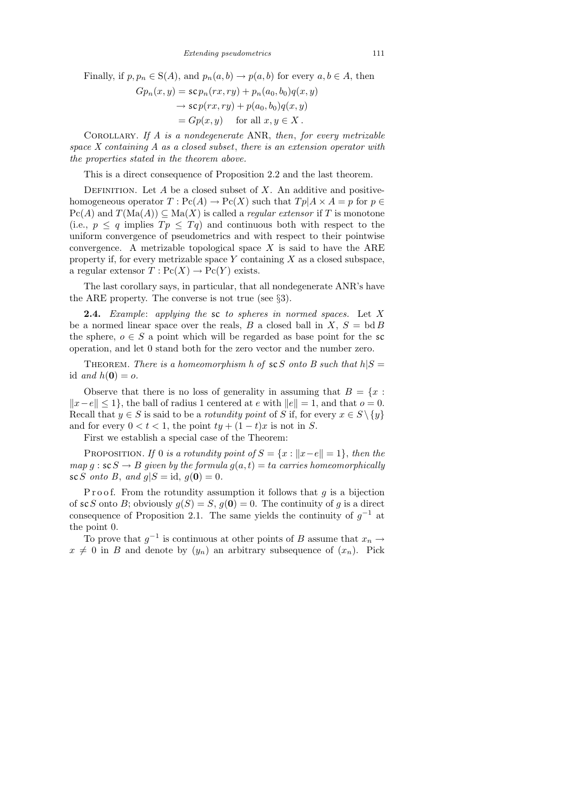Finally, if  $p, p_n \in S(A)$ , and  $p_n(a, b) \to p(a, b)$  for every  $a, b \in A$ , then

$$
Gp_n(x, y) = scp_n(rx, ry) + p_n(a_0, b_0)q(x, y)
$$
  
\n
$$
\rightarrow scp(rx, ry) + p(a_0, b_0)q(x, y)
$$
  
\n
$$
= Gp(x, y) \quad \text{for all } x, y \in X.
$$

COROLLARY. If  $A$  is a nondegenerate ANR, then, for every metrizable space  $X$  containing  $A$  as a closed subset, there is an extension operator with the properties stated in the theorem above.

This is a direct consequence of Proposition 2.2 and the last theorem.

DEFINITION. Let  $A$  be a closed subset of  $X$ . An additive and positivehomogeneous operator  $T: \mathrm{Pc}(A) \to \mathrm{Pc}(X)$  such that  $Tp|A \times A = p$  for  $p \in$  $\text{Pc}(A)$  and  $T(\text{Ma}(A)) \subseteq \text{Ma}(X)$  is called a *regular extensor* if T is monotone (i.e.,  $p \leq q$  implies  $Tp \leq Tq$ ) and continuous both with respect to the uniform convergence of pseudometrics and with respect to their pointwise convergence. A metrizable topological space  $X$  is said to have the ARE property if, for every metrizable space  $Y$  containing  $X$  as a closed subspace, a regular extensor  $T: \text{Pc}(X) \to \text{Pc}(Y)$  exists.

The last corollary says, in particular, that all nondegenerate ANR's have the ARE property. The converse is not true (see §3).

**2.4.** Example: applying the sc to spheres in normed spaces. Let  $X$ be a normed linear space over the reals, B a closed ball in X,  $S = bd B$ the sphere,  $o \in S$  a point which will be regarded as base point for the sc operation, and let 0 stand both for the zero vector and the number zero.

THEOREM. There is a homeomorphism h of  $\mathcal{SC}S$  onto B such that  $h|S =$ id and  $h(\mathbf{0}) = o$ .

Observe that there is no loss of generality in assuming that  $B = \{x :$  $||x-e|| \leq 1$ , the ball of radius 1 centered at e with  $||e|| = 1$ , and that  $o = 0$ . Recall that  $y \in S$  is said to be a *rotundity point* of S if, for every  $x \in S \setminus \{y\}$ and for every  $0 < t < 1$ , the point  $ty + (1-t)x$  is not in S.

First we establish a special case of the Theorem:

PROPOSITION. If 0 is a rotundity point of  $S = \{x : ||x-e|| = 1\}$ , then the map g :  $\mathbf{s} \in S \to B$  given by the formula  $g(a, t) = ta$  carries homeomorphically sc S onto B, and  $g|S = id$ ,  $g(\mathbf{0}) = 0$ .

Proof. From the rotundity assumption it follows that  $g$  is a bijection of scS onto B; obviously  $g(S) = S$ ,  $g(0) = 0$ . The continuity of g is a direct consequence of Proposition 2.1. The same yields the continuity of  $g^{-1}$  at the point 0.

To prove that  $g^{-1}$  is continuous at other points of B assume that  $x_n \to$  $x \neq 0$  in B and denote by  $(y_n)$  an arbitrary subsequence of  $(x_n)$ . Pick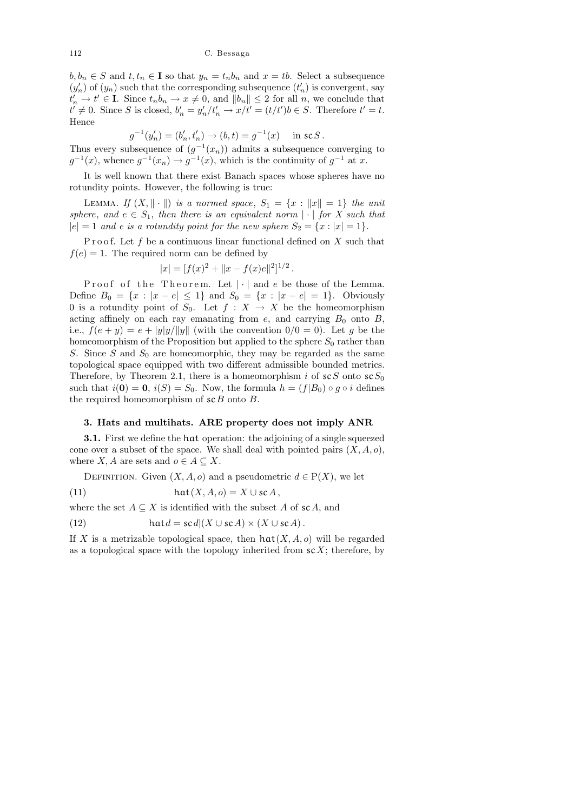$b, b_n \in S$  and  $t, t_n \in \mathbf{I}$  so that  $y_n = t_n b_n$  and  $x = tb$ . Select a subsequence  $(y'_n)$  of  $(y_n)$  such that the corresponding subsequence  $(t'_n)$  is convergent, say  $t'_n \to t' \in \mathbf{I}$ . Since  $t_n b_n \to x \neq 0$ , and  $||b_n|| \leq 2$  for all n, we conclude that  $t' \neq 0$ . Since S is closed,  $b'_n = y'_n/t'_n \rightarrow x/t' = (t/t')b \in S$ . Therefore  $t' = t$ . Hence

$$
g^{-1}(y'_n) = (b'_n, t'_n) \to (b, t) = g^{-1}(x) \quad \text{in } \text{sc } S.
$$

Thus every subsequence of  $(g^{-1}(x_n))$  admits a subsequence converging to  $g^{-1}(x)$ , whence  $g^{-1}(x_n) \to g^{-1}(x)$ , which is the continuity of  $g^{-1}$  at x.

It is well known that there exist Banach spaces whose spheres have no rotundity points. However, the following is true:

LEMMA. If  $(X, \|\cdot\|)$  is a normed space,  $S_1 = \{x : \|x\| = 1\}$  the unit sphere, and  $e \in S_1$ , then there is an equivalent norm  $|\cdot|$  for X such that  $|e| = 1$  and e is a rotundity point for the new sphere  $S_2 = \{x : |x| = 1\}.$ 

Proof. Let  $f$  be a continuous linear functional defined on  $X$  such that  $f(e) = 1$ . The required norm can be defined by

$$
|x| = [f(x)^{2} + ||x - f(x)e||^{2}]^{1/2}
$$

.

Proof of the Theorem. Let  $|\cdot|$  and e be those of the Lemma. Define  $B_0 = \{x : |x - e| \le 1\}$  and  $S_0 = \{x : |x - e| = 1\}$ . Obviously 0 is a rotundity point of  $S_0$ . Let  $f : X \to X$  be the homeomorphism acting affinely on each ray emanating from  $e$ , and carrying  $B_0$  onto B, i.e.,  $f(e + y) = e + |y|/||y||$  (with the convention  $0/0 = 0$ ). Let g be the homeomorphism of the Proposition but applied to the sphere  $S_0$  rather than S. Since S and  $S_0$  are homeomorphic, they may be regarded as the same topological space equipped with two different admissible bounded metrics. Therefore, by Theorem 2.1, there is a homeomorphism i of  $\mathcal{SC}S$  onto  $\mathcal{SC}S_0$ such that  $i(\mathbf{0}) = \mathbf{0}$ ,  $i(S) = S_0$ . Now, the formula  $h = (f|B_0) \circ g \circ i$  defines the required homeomorphism of  $\mathcal{SCB}$  onto B.

# 3. Hats and multihats. ARE property does not imply ANR

3.1. First we define the hat operation: the adjoining of a single squeezed cone over a subset of the space. We shall deal with pointed pairs  $(X, A, o)$ , where  $X, A$  are sets and  $o \in A \subseteq X$ .

DEFINITION. Given  $(X, A, o)$  and a pseudometric  $d \in P(X)$ , we let (11) hat $(X, A, o) = X \cup \text{sc } A$ ,

where the set  $A \subseteq X$  is identified with the subset A of scA, and

(12) 
$$
\operatorname{hat} d = \operatorname{sc} d | (X \cup \operatorname{sc} A) \times (X \cup \operatorname{sc} A).
$$

If X is a metrizable topological space, then  $hat(X, A, o)$  will be regarded as a topological space with the topology inherited from  $\mathcal{S} \mathcal{L}$ ; therefore, by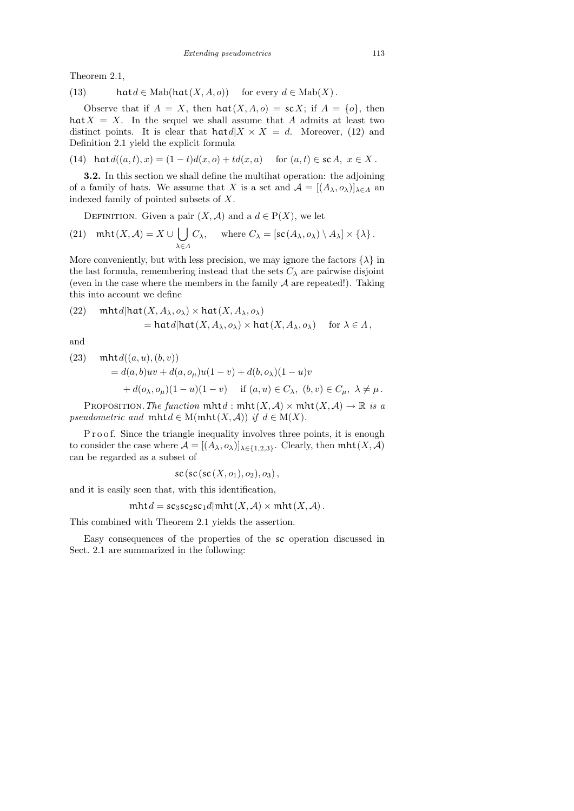Theorem 2.1,

(13) 
$$
\text{hat } d \in \text{Mab}(\text{hat}(X, A, o)) \quad \text{for every } d \in \text{Mab}(X) \, .
$$

Observe that if  $A = X$ , then  $hat(X, A, o) = scX$ ; if  $A = \{o\}$ , then  $hat{X} = X$ . In the sequel we shall assume that A admits at least two distinct points. It is clear that  $\text{h} \text{at} d | X \times X = d$ . Moreover, (12) and Definition 2.1 yield the explicit formula

(14) 
$$
\text{hat } d((a, t), x) = (1 - t) d(x, o) + t d(x, a)
$$
 for  $(a, t) \in \text{sc } A, x \in X$ .

3.2. In this section we shall define the multihat operation: the adjoining of a family of hats. We assume that X is a set and  $\mathcal{A} = [(A_{\lambda}, o_{\lambda})]_{\lambda \in \Lambda}$  and indexed family of pointed subsets of X.

DEFINITION. Given a pair  $(X, \mathcal{A})$  and a  $d \in P(X)$ , we let

(21) 
$$
\text{mht}(X, \mathcal{A}) = X \cup \bigcup_{\lambda \in \Lambda} C_{\lambda}, \quad \text{where } C_{\lambda} = [\text{sc}(A_{\lambda}, o_{\lambda}) \setminus A_{\lambda}] \times \{\lambda\}.
$$

More conveniently, but with less precision, we may ignore the factors  $\{\lambda\}$  in the last formula, remembering instead that the sets  $C_{\lambda}$  are pairwise disjoint (even in the case where the members in the family  $A$  are repeated!). Taking this into account we define

(22) 
$$
\text{mht } d | \text{hat}(X, A_\lambda, o_\lambda) \times \text{hat}(X, A_\lambda, o_\lambda)
$$
  
=  $\text{hat } d | \text{hat}(X, A_\lambda, o_\lambda) \times \text{hat}(X, A_\lambda, o_\lambda)$  for  $\lambda \in \Lambda$ ,

and

(23) 
$$
\begin{aligned} \text{mht } & d((a, u), (b, v)) \\ &= d(a, b)uv + d(a, o_{\mu})u(1 - v) + d(b, o_{\lambda})(1 - u)v \\ &+ d(o_{\lambda}, o_{\mu})(1 - u)(1 - v) \quad \text{if } (a, u) \in C_{\lambda}, \ (b, v) \in C_{\mu}, \ \lambda \neq \mu \,. \end{aligned}
$$

PROPOSITION. The function  $mhtd : mht(X, A) \times mht(X, A) \rightarrow \mathbb{R}$  is a pseudometric and  $mht d \in M(mht(X, A))$  if  $d \in M(X)$ .

Proof. Since the triangle inequality involves three points, it is enough to consider the case where  $\mathcal{A} = [(A_{\lambda}, o_{\lambda})]_{\lambda \in \{1,2,3\}}$ . Clearly, then  $mht(X, \mathcal{A})$ can be regarded as a subset of

$$
\textit{sc}(\textit{sc}(\textit{sc}(X,o_1), o_2), o_3),
$$

and it is easily seen that, with this identification,

$$
mht d = sc_3sc_2sc_1d | mht(X, A) \times mht(X, A) .
$$

This combined with Theorem 2.1 yields the assertion.

Easy consequences of the properties of the sc operation discussed in Sect. 2.1 are summarized in the following: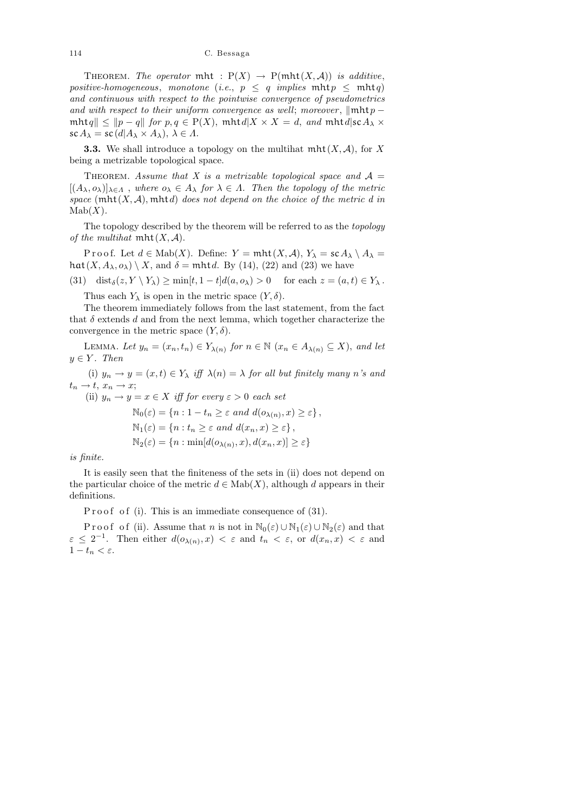THEOREM. The operator mht :  $P(X) \rightarrow P(\text{mht}(X, \mathcal{A}))$  is additive, positive-homogeneous, monotone (i.e.,  $p \leq q$  implies  $mht p \leq mht q$ ) and continuous with respect to the pointwise convergence of pseudometrics and with respect to their uniform convergence as well; moreover,  $\|\text{mht }p$  $mhtq|| \leq ||p - q||$  for  $p, q \in P(X)$ ,  $mhtd|X \times X = d$ , and  $mhtd|scA_{\lambda} \times$  $\operatorname{sc} A_{\lambda} = \operatorname{sc} (d | A_{\lambda} \times A_{\lambda}), \ \lambda \in \Lambda.$ 

**3.3.** We shall introduce a topology on the multihat  $mht(X, \mathcal{A})$ , for X being a metrizable topological space.

THEOREM. Assume that X is a metrizable topological space and  $A =$  $[(A_{\lambda}, o_{\lambda})]_{\lambda \in \Lambda}$ , where  $o_{\lambda} \in A_{\lambda}$  for  $\lambda \in \Lambda$ . Then the topology of the metric space  $(\text{mht}(X, \mathcal{A}), \text{mht} d)$  does not depend on the choice of the metric d in  $Mab(X)$ .

The topology described by the theorem will be referred to as the topology of the multihat  $mht(X, A)$ .

P r o o f. Let  $d \in \text{Mab}(X)$ . Define:  $Y = \text{mht}(X, \mathcal{A}), Y_{\lambda} = \text{sc } A_{\lambda} \setminus A_{\lambda} =$  $hat(X, A_\lambda, o_\lambda) \setminus X$ , and  $\delta = \text{mht } d$ . By (14), (22) and (23) we have

(31) dist<sub> $\delta$ </sub> $(z, Y \setminus Y_\lambda) \ge \min[t, 1 - t]d(a, o_\lambda) > 0$  for each  $z = (a, t) \in Y_\lambda$ .

Thus each  $Y_{\lambda}$  is open in the metric space  $(Y, \delta)$ .

The theorem immediately follows from the last statement, from the fact that  $\delta$  extends d and from the next lemma, which together characterize the convergence in the metric space  $(Y, \delta)$ .

LEMMA. Let  $y_n = (x_n, t_n) \in Y_{\lambda(n)}$  for  $n \in \mathbb{N}$   $(x_n \in A_{\lambda(n)} \subseteq X)$ , and let  $y \in Y$ . Then

(i)  $y_n \to y = (x, t) \in Y_\lambda$  iff  $\lambda(n) = \lambda$  for all but finitely many n's and  $t_n \rightarrow t$ ,  $x_n \rightarrow x$ ;

(ii)  $y_n \to y = x \in X$  iff for every  $\varepsilon > 0$  each set

$$
\mathbb{N}_0(\varepsilon) = \{n : 1 - t_n \ge \varepsilon \text{ and } d(o_{\lambda(n)}, x) \ge \varepsilon\},\
$$
  

$$
\mathbb{N}_1(\varepsilon) = \{n : t_n \ge \varepsilon \text{ and } d(x_n, x) \ge \varepsilon\},\
$$
  

$$
\mathbb{N}_2(\varepsilon) = \{n : \min[d(o_{\lambda(n)}, x), d(x_n, x)] \ge \varepsilon\}
$$

is finite.

It is easily seen that the finiteness of the sets in (ii) does not depend on the particular choice of the metric  $d \in \text{Mab}(X)$ , although d appears in their definitions.

P r o o f o f (i). This is an immediate consequence of  $(31)$ .

P r o o f o f (ii). Assume that n is not in  $\mathbb{N}_0(\varepsilon) \cup \mathbb{N}_1(\varepsilon) \cup \mathbb{N}_2(\varepsilon)$  and that  $\varepsilon \leq 2^{-1}$ . Then either  $d(o_{\lambda(n)}, x) < \varepsilon$  and  $t_n < \varepsilon$ , or  $d(x_n, x) < \varepsilon$  and  $1 - t_n < \varepsilon$ .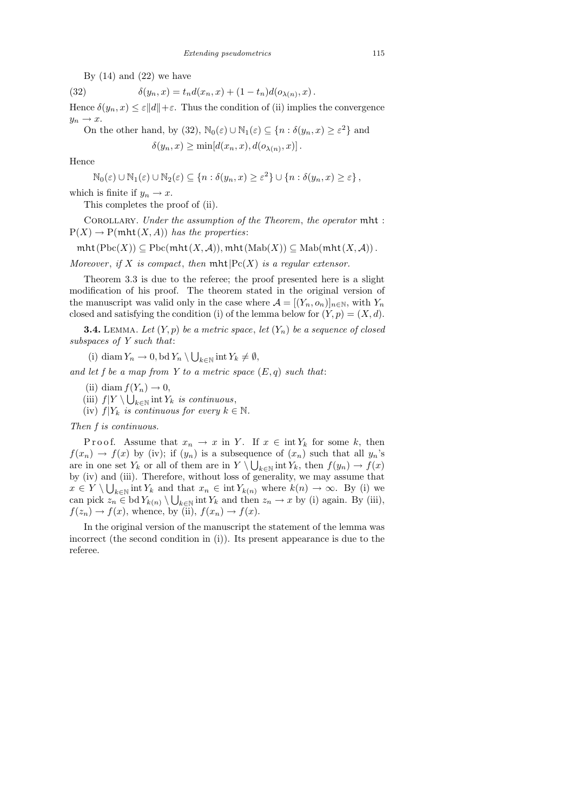By  $(14)$  and  $(22)$  we have

(32)  $\delta(y_n, x) = t_n d(x_n, x) + (1 - t_n) d(o_{\lambda(n)}, x)$ .

Hence  $\delta(y_n, x) \leq \varepsilon ||d|| + \varepsilon$ . Thus the condition of (ii) implies the convergence  $y_n \to x$ .

On the other hand, by (32), 
$$
\mathbb{N}_0(\varepsilon) \cup \mathbb{N}_1(\varepsilon) \subseteq \{n : \delta(y_n, x) \ge \varepsilon^2\}
$$
 and

 $\delta(y_n, x) \ge \min[d(x_n, x), d(o_{\lambda(n)}, x)].$ 

Hence

$$
\mathbb{N}_0(\varepsilon) \cup \mathbb{N}_1(\varepsilon) \cup \mathbb{N}_2(\varepsilon) \subseteq \{n : \delta(y_n, x) \ge \varepsilon^2\} \cup \{n : \delta(y_n, x) \ge \varepsilon\},\
$$

which is finite if  $y_n \to x$ .

This completes the proof of (ii).

Corollary. Under the assumption of the Theorem, the operator mht :  $P(X) \to P(\text{mht}(X, A))$  has the properties:

 $mht(Pbc(X)) \subseteq Pbc(mht(X, A)), mht(Mab(X)) \subseteq Mab(mht(X, A)).$ 

Moreover, if X is compact, then  $mht|Pc(X)$  is a regular extensor.

Theorem 3.3 is due to the referee; the proof presented here is a slight modification of his proof. The theorem stated in the original version of the manuscript was valid only in the case where  $\mathcal{A} = [(Y_n, o_n)]_{n \in \mathbb{N}}$ , with  $Y_n$ closed and satisfying the condition (i) of the lemma below for  $(Y, p) = (X, d)$ .

**3.4.** LEMMA. Let  $(Y, p)$  be a metric space, let  $(Y_n)$  be a sequence of closed subspaces of Y such that:

(i) diam  $Y_n \to 0$ , bd  $Y_n \setminus \bigcup_{k \in \mathbb{N}} \text{int } Y_k \neq \emptyset$ ,

and let f be a map from Y to a metric space  $(E, q)$  such that:

- (ii) diam  $f(Y_n) \to 0$ ,
- (iii)  $f|Y \setminus \bigcup_{k \in \mathbb{N}} \text{int } Y_k$  is continuous,
- (iv)  $f|Y_k$  is continuous for every  $k \in \mathbb{N}$ .

Then f is continuous.

P r o o f. Assume that  $x_n \to x$  in Y. If  $x \in \text{int } Y_k$  for some k, then  $f(x_n) \to f(x)$  by (iv); if  $(y_n)$  is a subsequence of  $(x_n)$  such that all  $y_n$ 's are in one set  $Y_k$  or all of them are in  $Y \setminus \bigcup_{k \in \mathbb{N}} \text{int } Y_k$ , then  $f(y_n) \to f(x)$ by (iv) and (iii). Therefore, without loss of generality, we may assume that  $x \in Y \setminus \bigcup_{k \in \mathbb{N}} \text{int } Y_k$  and that  $x_n \in \text{int } Y_{k(n)}$  where  $k(n) \to \infty$ . By (i) we can pick  $z_n \in \text{bd } Y_{k(n)} \setminus \bigcup_{k \in \mathbb{N}} \text{int } Y_k$  and then  $z_n \to x$  by (i) again. By (iii),  $f(z_n) \to f(x)$ , whence, by (ii),  $f(x_n) \to f(x)$ .

In the original version of the manuscript the statement of the lemma was incorrect (the second condition in (i)). Its present appearance is due to the referee.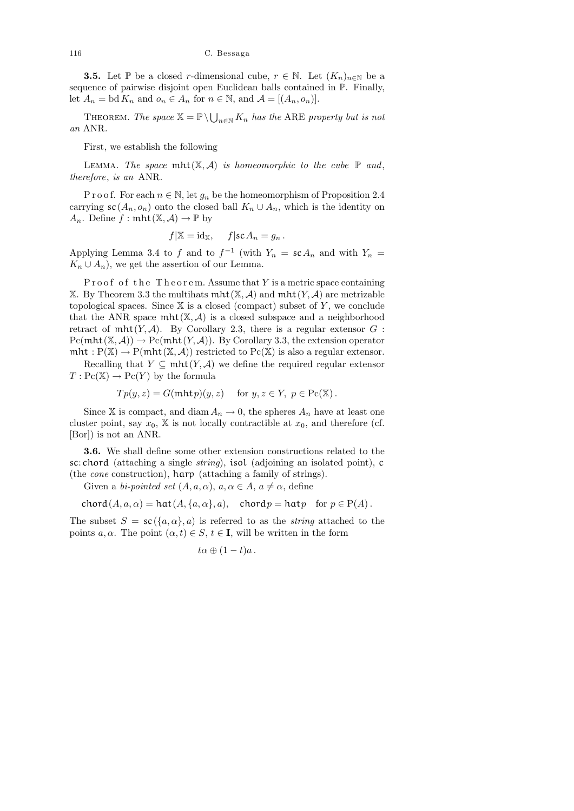**3.5.** Let  $\mathbb{P}$  be a closed r-dimensional cube,  $r \in \mathbb{N}$ . Let  $(K_n)_{n \in \mathbb{N}}$  be a sequence of pairwise disjoint open Euclidean balls contained in P. Finally, let  $A_n = \text{bd } K_n$  and  $o_n \in A_n$  for  $n \in \mathbb{N}$ , and  $\mathcal{A} = [(A_n, o_n)]$ .

THEOREM. The space  $\mathbb{X} = \mathbb{P} \setminus \bigcup_{n \in \mathbb{N}} K_n$  has the ARE property but is not an ANR.

First, we establish the following

LEMMA. The space  $mht(X, A)$  is homeomorphic to the cube  $\mathbb P$  and, therefore, is an ANR.

P r o o f. For each  $n \in \mathbb{N}$ , let  $g_n$  be the homeomorphism of Proposition 2.4 carrying  $\mathsf{sc}(A_n, o_n)$  onto the closed ball  $K_n \cup A_n$ , which is the identity on  $A_n$ . Define  $f : \text{mht}(\mathbb{X}, \mathcal{A}) \to \mathbb{P}$  by

$$
f|\mathbb{X} = id_{\mathbb{X}}, \quad f| sc A_n = g_n.
$$

Applying Lemma 3.4 to f and to  $f^{-1}$  (with  $Y_n = sc A_n$  and with  $Y_n =$  $K_n \cup A_n$ , we get the assertion of our Lemma.

Proof of the Theorem. Assume that  $Y$  is a metric space containing X. By Theorem 3.3 the multihats  $mht(X, A)$  and  $mht(Y, A)$  are metrizable topological spaces. Since  $X$  is a closed (compact) subset of  $Y$ , we conclude that the ANR space  $mht(\mathbb{X}, \mathcal{A})$  is a closed subspace and a neighborhood retract of  $mht(Y, A)$ . By Corollary 2.3, there is a regular extensor  $G$ :  $Pc(mht(X, A)) \to Pc(mht(Y, A))$ . By Corollary 3.3, the extension operator mht :  $P(X) \to P(\text{mht}(X, \mathcal{A}))$  restricted to  $Pc(X)$  is also a regular extensor.

Recalling that  $Y \subseteq \text{mht}(Y, \mathcal{A})$  we define the required regular extensor  $T: \mathrm{Pc}(\mathbb{X}) \to \mathrm{Pc}(Y)$  by the formula

$$
Tp(y, z) = G(\text{mht } p)(y, z) \quad \text{ for } y, z \in Y, \ p \in \text{Pc}(\mathbb{X}).
$$

Since X is compact, and diam  $A_n \to 0$ , the spheres  $A_n$  have at least one cluster point, say  $x_0$ , X is not locally contractible at  $x_0$ , and therefore (cf. [Bor]) is not an ANR.

3.6. We shall define some other extension constructions related to the sc: chord (attaching a single string), isol (adjoining an isolated point), c (the cone construction), harp (attaching a family of strings).

Given a bi-pointed set  $(A, a, \alpha)$ ,  $a, \alpha \in A$ ,  $a \neq \alpha$ , define

$$
chord(A, a, \alpha) = hat(A, \{a, \alpha\}, a), \quad chord p = hat p \quad for \ p \in P(A).
$$

The subset  $S = sc({a,\alpha},a)$  is referred to as the *string* attached to the points a,  $\alpha$ . The point  $(\alpha, t) \in S$ ,  $t \in I$ , will be written in the form

$$
t\alpha \oplus (1-t)a.
$$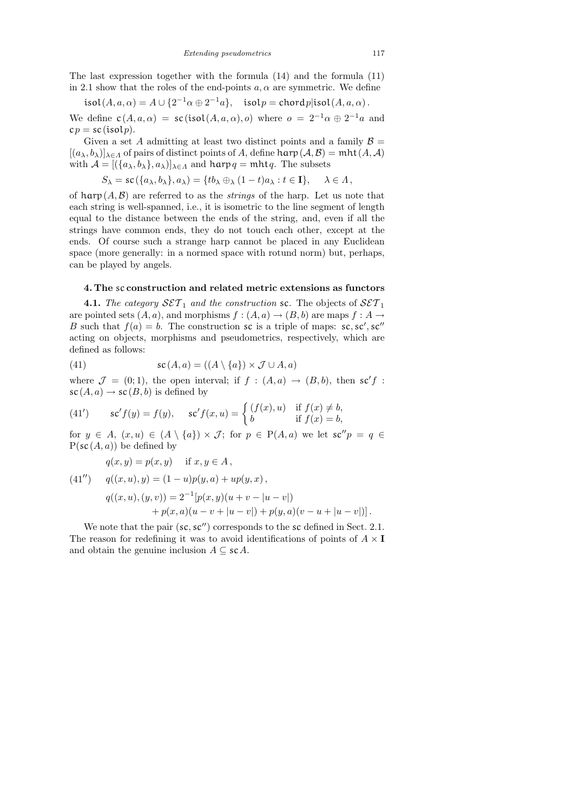The last expression together with the formula (14) and the formula (11) in 2.1 show that the roles of the end-points  $a, \alpha$  are symmetric. We define

isol $(A, a, \alpha) = A \cup \{2^{-1}\alpha \oplus 2^{-1}a\}, \text{ isol } p = \text{chord } p \text{|isol}(A, a, \alpha).$ We define  $c(A, a, \alpha) = sc(isol(A, a, \alpha), o)$  where  $o = 2^{-1}\alpha \oplus 2^{-1}a$  and  $cp = sc(isolp).$ 

Given a set A admitting at least two distinct points and a family  $\mathcal{B} =$  $[(a_{\lambda}, b_{\lambda})]_{\lambda \in \Lambda}$  of pairs of distinct points of A, define harp $(A, B) = \text{mht}(A, A)$ with  $\mathcal{A} = [(\{a_\lambda, b_\lambda\}, a_\lambda)]_{\lambda \in \Lambda}$  and  $\text{harp } q = \text{mht } q$ . The subsets

$$
S_{\lambda} = \operatorname{sc}(\{a_{\lambda}, b_{\lambda}\}, a_{\lambda}) = \{tb_{\lambda} \oplus_{\lambda} (1-t)a_{\lambda} : t \in \mathbf{I}\}, \quad \lambda \in \Lambda,
$$

of  $\text{harp}(A, \mathcal{B})$  are referred to as the *strings* of the harp. Let us note that each string is well-spanned, i.e., it is isometric to the line segment of length equal to the distance between the ends of the string, and, even if all the strings have common ends, they do not touch each other, except at the ends. Of course such a strange harp cannot be placed in any Euclidean space (more generally: in a normed space with rotund norm) but, perhaps, can be played by angels.

## 4. The sc construction and related metric extensions as functors

**4.1.** The category  $\mathcal{SET}_1$  and the construction sc. The objects of  $\mathcal{SET}_1$ are pointed sets  $(A, a)$ , and morphisms  $f : (A, a) \to (B, b)$  are maps  $f : A \to$ B such that  $f(a) = b$ . The construction sc is a triple of maps: sc, sc', sc'' acting on objects, morphisms and pseudometrics, respectively, which are defined as follows:

(41) 
$$
\mathsf{sc}(A, a) = ((A \setminus \{a\}) \times \mathcal{J} \cup A, a)
$$

where  $\mathcal{J} = (0, 1)$ , the open interval; if  $f : (A, a) \rightarrow (B, b)$ , then sc'f:  $\operatorname{sc}(A, a) \to \operatorname{sc}(B, b)$  is defined by

(41') 
$$
\operatorname{sc}' f(y) = f(y), \quad \operatorname{sc}' f(x, u) = \begin{cases} (f(x), u) & \text{if } f(x) \neq b, \\ b & \text{if } f(x) = b, \end{cases}
$$

for  $y \in A$ ,  $(x, u) \in (A \setminus \{a\}) \times J$ ; for  $p \in P(A, a)$  we let  $sc''p = q \in$  $P(\mathsf{sc}(A, a))$  be defined by

$$
q(x, y) = p(x, y) \quad \text{if } x, y \in A,
$$

(41") 
$$
q((x, u), y) = (1 - u)p(y, a) + up(y, x),
$$

$$
q((x, u), (y, v)) = 2^{-1}[p(x, y)(u + v - |u - v|) + p(x, a)(u - v + |u - v|) + p(y, a)(v - u + |u - v|)].
$$

We note that the pair  $(\mathsf{sc}, \mathsf{sc}'')$  corresponds to the sc defined in Sect. 2.1. The reason for redefining it was to avoid identifications of points of  $A \times I$ and obtain the genuine inclusion  $A \subseteq sc A$ .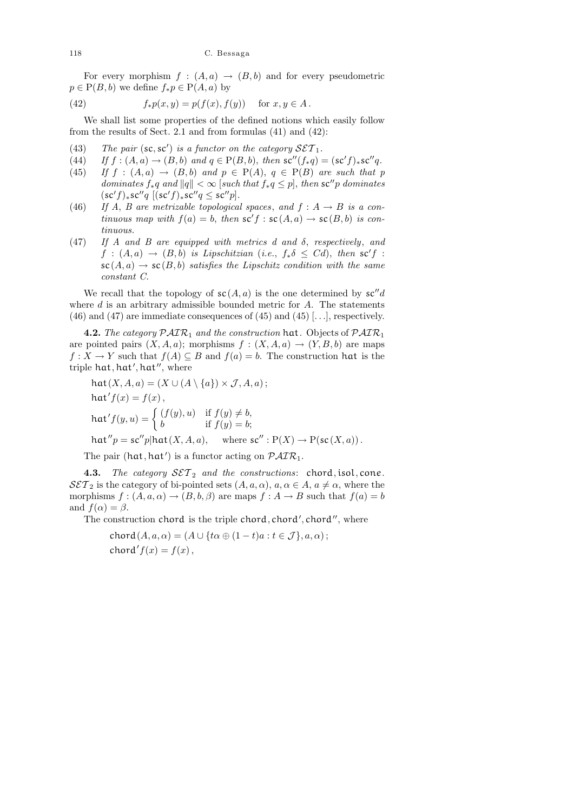118 C. Bessaga

For every morphism  $f : (A, a) \rightarrow (B, b)$  and for every pseudometric  $p \in P(B, b)$  we define  $f_* p \in P(A, a)$  by

(42) 
$$
f_*p(x,y) = p(f(x), f(y)) \text{ for } x, y \in A.
$$

We shall list some properties of the defined notions which easily follow from the results of Sect. 2.1 and from formulas (41) and (42):

- (43) The pair  $(\text{sc}, \text{sc}')$  is a functor on the category  $\mathcal{SET}_1$ .
- (44) If  $f : (A, a) \to (B, b)$  and  $q \in P(B, b)$ , then  $sc''(f_*q) = (sc'f)_*sc''q$ .
- (45) If  $f : (A, a) \rightarrow (B, b)$  and  $p \in P(A)$ ,  $q \in P(B)$  are such that p dominates  $f_*q$  and  $||q|| < \infty$  [such that  $f_*q \leq p$ ], then sc''p dominates  $(\mathsf{sc}'f)_* \mathsf{sc}''q$  [ $(\mathsf{sc}'f)_* \mathsf{sc}''q \leq \mathsf{sc}''p$ ].
- (46) If A, B are metrizable topological spaces, and  $f : A \rightarrow B$  is a continuous map with  $f(a) = b$ , then  $\mathsf{sc}' f : \mathsf{sc}(A, a) \to \mathsf{sc}(B, b)$  is continuous.
- (47) If A and B are equipped with metrics d and δ, respectively, and  $f : (A, a) \rightarrow (B, b)$  is Lipschitzian (i.e.,  $f_*\delta \leq Cd$ ), then  $sc'f$ :  $\operatorname{sc}(A, a) \to \operatorname{sc}(B, b)$  satisfies the Lipschitz condition with the same constant C.

We recall that the topology of  $\mathfrak{sc}(A, a)$  is the one determined by  $\mathfrak{sc}''d$ where  $d$  is an arbitrary admissible bounded metric for  $A$ . The statements  $(46)$  and  $(47)$  are immediate consequences of  $(45)$  and  $(45)$  [...], respectively.

**4.2.** The category  $\mathcal{PATR}_1$  and the construction hat. Objects of  $\mathcal{PATR}_1$ are pointed pairs  $(X, A, a)$ ; morphisms  $f : (X, A, a) \rightarrow (Y, B, b)$  are maps  $f: X \to Y$  such that  $f(A) \subseteq B$  and  $f(a) = b$ . The construction hat is the triple hat, hat', hat'', where

$$
hat(X, A, a) = (X \cup (A \setminus \{a\}) \times \mathcal{J}, A, a);
$$
  
\n
$$
hat'f(x) = f(x),
$$
  
\n
$$
hat'f(y, u) = \begin{cases} (f(y), u) & \text{if } f(y) \neq b, \\ b & \text{if } f(y) = b; \end{cases}
$$
  
\n
$$
hat''p = sc''p|hat(X, A, a), \text{ where } sc'' : P(X) \to P(sc(X, a)).
$$

The pair (hat, hat') is a functor acting on  $\mathcal{PALR}_1$ .

**4.3.** The category  $\mathcal{SET}_2$  and the constructions: chord, isol, cone.  $\mathcal{SET}_2$  is the category of bi-pointed sets  $(A, a, \alpha)$ ,  $a, \alpha \in A$ ,  $a \neq \alpha$ , where the morphisms  $f : (A, a, \alpha) \to (B, b, \beta)$  are maps  $f : A \to B$  such that  $f(a) = b$ and  $f(\alpha) = \beta$ .

The construction chord is the triple chord, chord', chord'', where

$$
chord(A, a, \alpha) = (A \cup \{t\alpha \oplus (1-t)a : t \in \mathcal{J}\}, a, \alpha);
$$
  
chord' $f(x) = f(x),$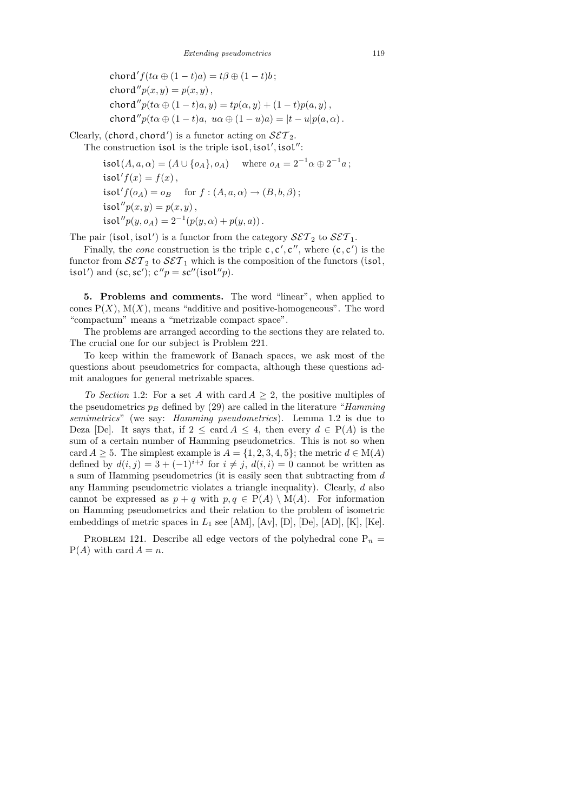$$
\begin{aligned}\n\text{chord}'f(t\alpha \oplus (1-t)a) &= t\beta \oplus (1-t)b; \\
\text{chord}''p(x,y) &= p(x,y) \,, \\
\text{chord}''p(t\alpha \oplus (1-t)a, y) &= tp(\alpha, y) + (1-t)p(a, y) \,, \\
\text{chord}''p(t\alpha \oplus (1-t)a, \ u\alpha \oplus (1-u)a) &= |t-u|p(a, \alpha) \,. \n\end{aligned}
$$

Clearly, (chord, chord') is a functor acting on  $\mathcal{SET}_2$ . The construction isol is the triple isol, isol', isol'':

> $\mathfrak{isol}(A,a,\alpha)=(A\cup\{o_A\},o_A)\quad\text{ where } o_A=2^{-1}\alpha\oplus 2^{-1}a\,;$ isol' $f(x) = f(x)$ , isol' $f(o_A) = o_B$  for  $f : (A, a, \alpha) \rightarrow (B, b, \beta);$ isol $''p(x, y) = p(x, y)$ , isol" $p(y, o_A) = 2^{-1}(p(y, \alpha) + p(y, a))$ .

The pair (isol, isol') is a functor from the category  $\mathcal{SET}_2$  to  $\mathcal{SET}_1$ .

Finally, the *cone* construction is the triple  $c, c', c'',$  where  $(c, c')$  is the functor from  $\mathcal{SET}_2$  to  $\mathcal{SET}_1$  which is the composition of the functors (isol, isol') and (sc, sc');  $c''p = sc''(isol''p)$ .

5. Problems and comments. The word "linear", when applied to cones  $P(X)$ ,  $M(X)$ , means "additive and positive-homogeneous". The word "compactum" means a "metrizable compact space".

The problems are arranged according to the sections they are related to. The crucial one for our subject is Problem 221.

To keep within the framework of Banach spaces, we ask most of the questions about pseudometrics for compacta, although these questions admit analogues for general metrizable spaces.

To Section 1.2: For a set A with card  $A \geq 2$ , the positive multiples of the pseudometrics  $p_B$  defined by (29) are called in the literature "Hamming" semimetrics" (we say: Hamming pseudometrics). Lemma 1.2 is due to Deza [De]. It says that, if  $2 \leq \text{card } A \leq 4$ , then every  $d \in P(A)$  is the sum of a certain number of Hamming pseudometrics. This is not so when card  $A \geq 5$ . The simplest example is  $A = \{1, 2, 3, 4, 5\}$ ; the metric  $d \in M(A)$ defined by  $d(i, j) = 3 + (-1)^{i+j}$  for  $i \neq j$ ,  $d(i, i) = 0$  cannot be written as a sum of Hamming pseudometrics (it is easily seen that subtracting from d any Hamming pseudometric violates a triangle inequality). Clearly, d also cannot be expressed as  $p + q$  with  $p, q \in P(A) \setminus M(A)$ . For information on Hamming pseudometrics and their relation to the problem of isometric embeddings of metric spaces in  $L_1$  see [AM], [Av], [D], [De], [AD], [K], [Ke].

PROBLEM 121. Describe all edge vectors of the polyhedral cone  $P_n =$  $P(A)$  with card  $A = n$ .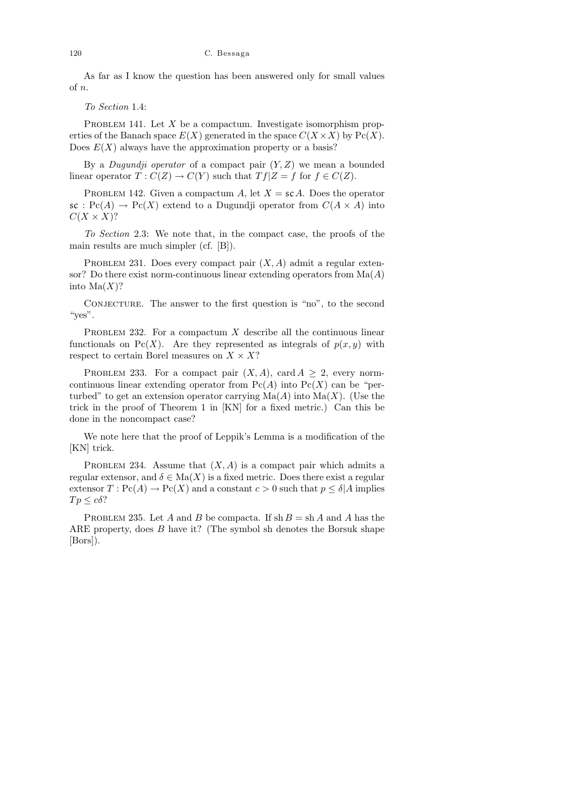#### 120 C. Bessaga

As far as I know the question has been answered only for small values of n.

To Section 1.4:

PROBLEM 141. Let X be a compactum. Investigate isomorphism properties of the Banach space  $E(X)$  generated in the space  $C(X \times X)$  by  $\text{Pc}(X)$ . Does  $E(X)$  always have the approximation property or a basis?

By a *Dugundji operator* of a compact pair  $(Y, Z)$  we mean a bounded linear operator  $T: C(Z) \to C(Y)$  such that  $Tf|Z = f$  for  $f \in C(Z)$ .

PROBLEM 142. Given a compactum A, let  $X = scA$ . Does the operator  $\operatorname{sc}: \operatorname{Pc}(A) \to \operatorname{Pc}(X)$  extend to a Dugundji operator from  $C(A \times A)$  into  $C(X \times X)$ ?

To Section 2.3: We note that, in the compact case, the proofs of the main results are much simpler (cf. [B]).

PROBLEM 231. Does every compact pair  $(X, A)$  admit a regular extensor? Do there exist norm-continuous linear extending operators from  $\text{Ma}(A)$ into  $\text{Ma}(X)$ ?

CONJECTURE. The answer to the first question is "no", to the second " $yes$ ".

PROBLEM 232. For a compactum  $X$  describe all the continuous linear functionals on Pc(X). Are they represented as integrals of  $p(x, y)$  with respect to certain Borel measures on  $X \times X$ ?

PROBLEM 233. For a compact pair  $(X, A)$ , card  $A \geq 2$ , every normcontinuous linear extending operator from  $\text{Pc}(A)$  into  $\text{Pc}(X)$  can be "perturbed" to get an extension operator carrying  $\text{Ma}(A)$  into  $\text{Ma}(X)$ . (Use the trick in the proof of Theorem 1 in [KN] for a fixed metric.) Can this be done in the noncompact case?

We note here that the proof of Leppik's Lemma is a modification of the [KN] trick.

PROBLEM 234. Assume that  $(X, A)$  is a compact pair which admits a regular extensor, and  $\delta \in \text{Ma}(X)$  is a fixed metric. Does there exist a regular extensor  $T: \text{Pc}(A) \to \text{Pc}(X)$  and a constant  $c > 0$  such that  $p \leq \delta |A|$  implies  $Tp \leq c\delta$ ?

PROBLEM 235. Let A and B be compacta. If  $\sh B = \sh A$  and A has the ARE property, does B have it? (The symbol sh denotes the Borsuk shape [Bors]).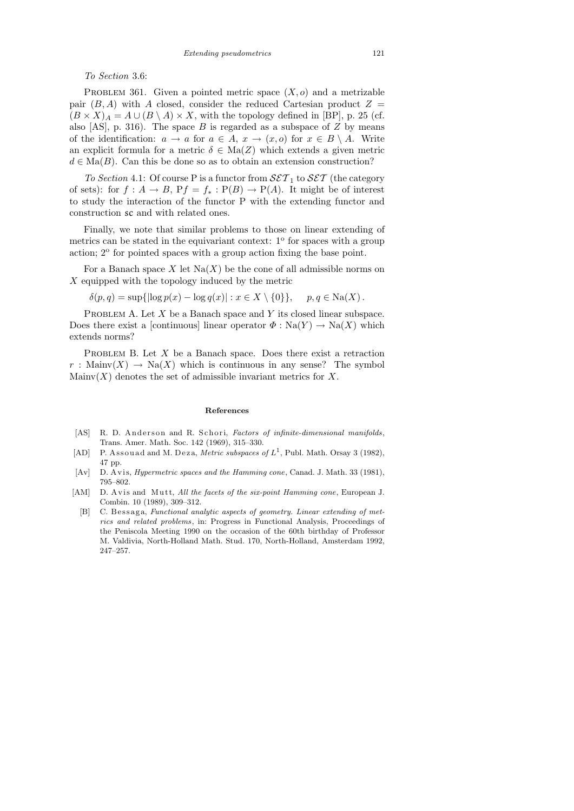To Section 3.6:

PROBLEM 361. Given a pointed metric space  $(X, o)$  and a metrizable pair  $(B, A)$  with A closed, consider the reduced Cartesian product  $Z =$  $(B \times X)_A = A \cup (B \setminus A) \times X$ , with the topology defined in [BP], p. 25 (cf. also [AS], p. 316). The space B is regarded as a subspace of Z by means of the identification:  $a \to a$  for  $a \in A$ ,  $x \to (x, o)$  for  $x \in B \setminus A$ . Write an explicit formula for a metric  $\delta \in \text{Ma}(Z)$  which extends a given metric  $d \in \text{Ma}(B)$ . Can this be done so as to obtain an extension construction?

To Section 4.1: Of course P is a functor from  $\mathcal{SET}_1$  to  $\mathcal{SET}$  (the category of sets): for  $f : A \to B$ ,  $Pf = f_* : P(B) \to P(A)$ . It might be of interest to study the interaction of the functor P with the extending functor and construction sc and with related ones.

Finally, we note that similar problems to those on linear extending of metrics can be stated in the equivariant context:  $1^{\circ}$  for spaces with a group action; 2° for pointed spaces with a group action fixing the base point.

For a Banach space X let  $\text{Na}(X)$  be the cone of all admissible norms on X equipped with the topology induced by the metric

 $\delta(p,q) = \sup\{|\log p(x) - \log q(x)| : x \in X \setminus \{0\}\}, \quad p, q \in Na(X).$ 

PROBLEM A. Let  $X$  be a Banach space and  $Y$  its closed linear subspace. Does there exist a [continuous] linear operator  $\Phi : \text{Na}(Y) \to \text{Na}(X)$  which extends norms?

PROBLEM B. Let  $X$  be a Banach space. Does there exist a retraction  $r:$  Mainv $(X) \to$  Na $(X)$  which is continuous in any sense? The symbol Mainv $(X)$  denotes the set of admissible invariant metrics for X.

#### **References**

- [AS] R. D. Anderson and R. Schori, *Factors of infinite-dimensional manifolds*, Trans. Amer. Math. Soc. 142 (1969), 315–330.
- [AD] P. Assouad and M. Deza, *Metric subspaces of*  $L^1$ , Publ. Math. Orsay 3 (1982), 47 pp.
- [Av] D. Avis, *Hypermetric spaces and the Hamming cone*, Canad. J. Math. 33 (1981), 795–802.
- [AM] D. A vis and Mutt, *All the facets of the six-point Hamming cone*, European J. Combin. 10 (1989), 309–312.
	- [B] C. Bessaga, *Functional analytic aspects of geometry. Linear extending of metrics and related problems*, in: Progress in Functional Analysis, Proceedings of the Peniscola Meeting 1990 on the occasion of the 60th birthday of Professor M. Valdivia, North-Holland Math. Stud. 170, North-Holland, Amsterdam 1992, 247–257.